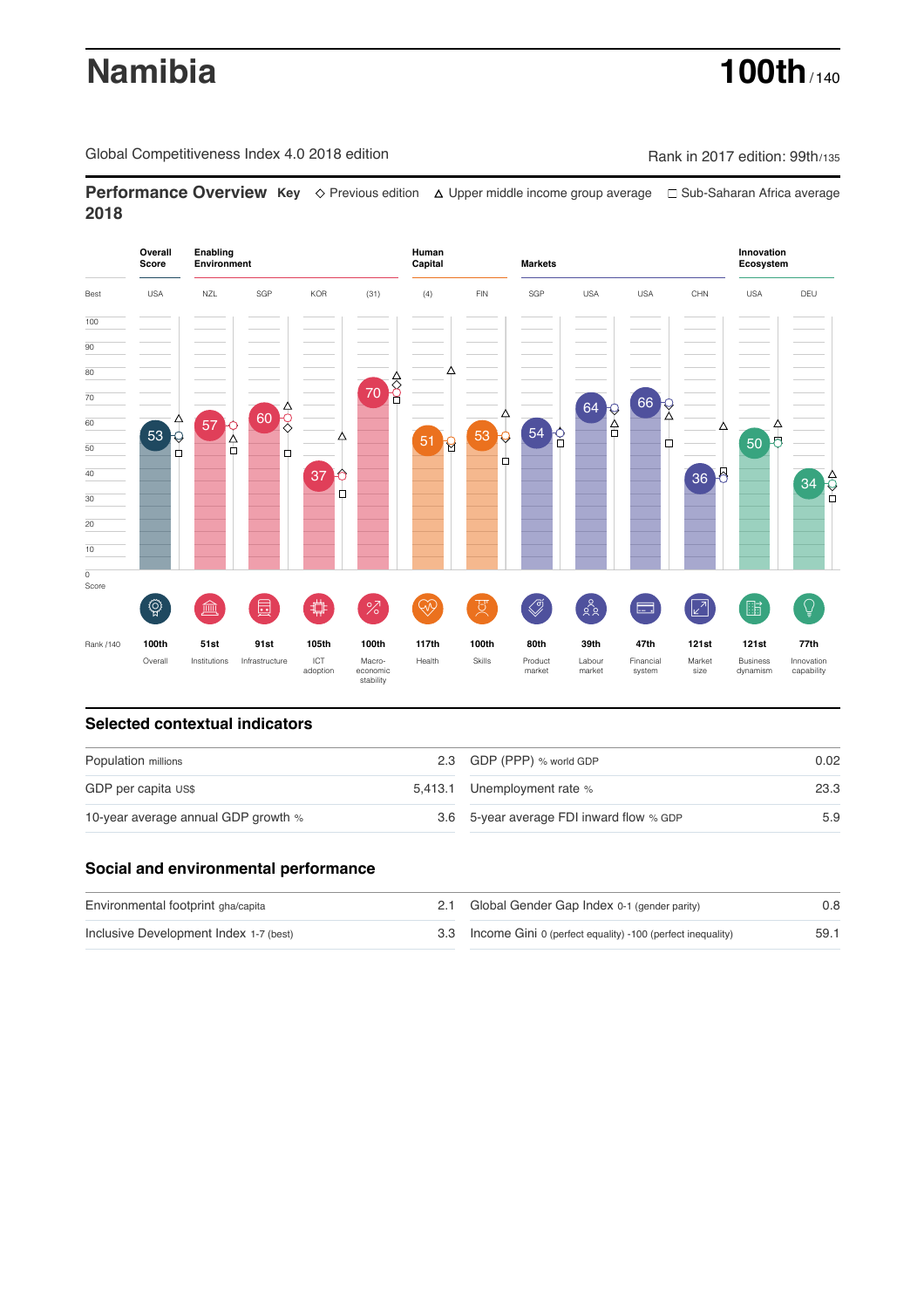# **Namibia 100th** / 140

Global Competitiveness Index 4.0 2018 edition Company Rank in 2017 edition: 99th/135

**Performance Overview Key** Previous edition Upper middle income group average Sub-Saharan Africa average **2018**



# **Selected contextual indicators**

| Population millions                 |  | 2.3 GDP (PPP) % world GDP                | 0.02 |  |
|-------------------------------------|--|------------------------------------------|------|--|
| GDP per capita US\$                 |  | 5,413.1 Unemployment rate %              | 23.3 |  |
| 10-year average annual GDP growth % |  | 3.6 5-year average FDI inward flow % GDP | 5.9  |  |

# **Social and environmental performance**

| Environmental footprint gha/capita     | 2.1 Global Gender Gap Index 0-1 (gender parity)                | 0.8  |
|----------------------------------------|----------------------------------------------------------------|------|
| Inclusive Development Index 1-7 (best) | 3.3 Income Gini 0 (perfect equality) -100 (perfect inequality) | 59.1 |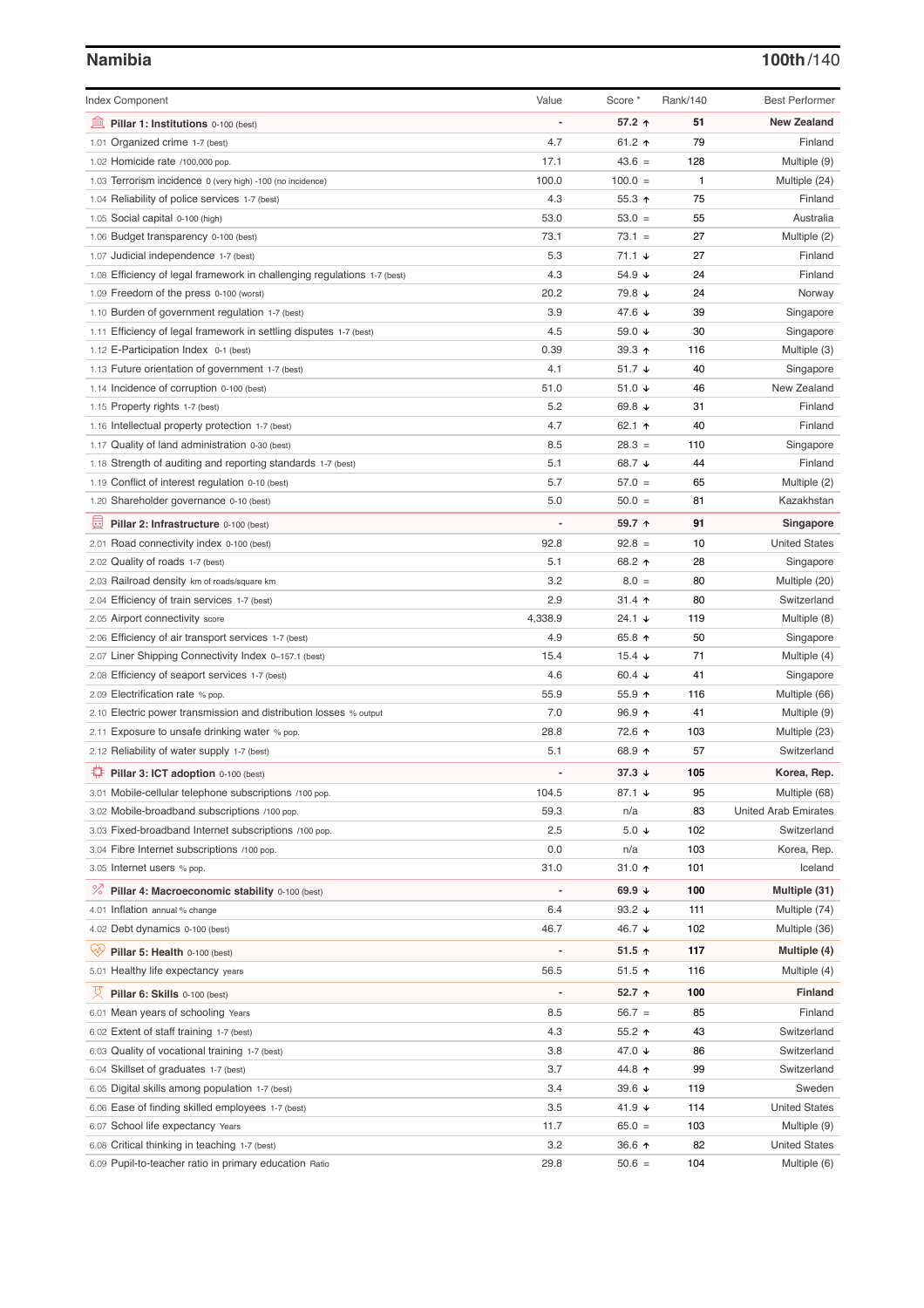### **Namibia 100th**/140

| <b>Index Component</b>                                                   | Value                    | Score *              | Rank/140     | <b>Best Performer</b>        |
|--------------------------------------------------------------------------|--------------------------|----------------------|--------------|------------------------------|
| Pillar 1: Institutions 0-100 (best)                                      |                          | 57.2 ↑               | 51           | <b>New Zealand</b>           |
| 1.01 Organized crime 1-7 (best)                                          | 4.7                      | 61.2 $\uparrow$      | 79           | Finland                      |
| 1.02 Homicide rate /100,000 pop.                                         | 17.1                     | $43.6 =$             | 128          | Multiple (9)                 |
| 1.03 Terrorism incidence 0 (very high) -100 (no incidence)               | 100.0                    | $100.0 =$            | $\mathbf{1}$ | Multiple (24)                |
| 1.04 Reliability of police services 1-7 (best)                           | 4.3                      | 55.3 $\uparrow$      | 75           | Finland                      |
| 1.05 Social capital 0-100 (high)                                         | 53.0                     | $53.0 =$             | 55           | Australia                    |
| 1.06 Budget transparency 0-100 (best)                                    | 73.1                     | $73.1 =$             | 27           | Multiple (2)                 |
| 1.07 Judicial independence 1-7 (best)                                    | 5.3                      | $71.1 \; \downarrow$ | 27           | Finland                      |
| 1.08 Efficiency of legal framework in challenging regulations 1-7 (best) | 4.3                      | 54.9 ↓               | 24           | Finland                      |
| 1.09 Freedom of the press 0-100 (worst)                                  | 20.2                     | 79.8 ↓               | 24           | Norway                       |
| 1.10 Burden of government regulation 1-7 (best)                          | 3.9                      | 47.6 ↓               | 39           | Singapore                    |
| 1.11 Efficiency of legal framework in settling disputes 1-7 (best)       | 4.5                      | 59.0 ↓               | 30           | Singapore                    |
| 1.12 E-Participation Index 0-1 (best)                                    | 0.39                     | 39.3 ↑               | 116          | Multiple (3)                 |
| 1.13 Future orientation of government 1-7 (best)                         | 4.1                      | 51.7 $\sqrt{ }$      | 40           | Singapore                    |
| 1.14 Incidence of corruption 0-100 (best)                                | 51.0                     | 51.0 $\sqrt{ }$      | 46           | New Zealand                  |
| 1.15 Property rights 1-7 (best)                                          | 5.2                      | 69.8 $\sqrt{ }$      | 31           | Finland                      |
| 1.16 Intellectual property protection 1-7 (best)                         | 4.7                      | 62.1 $\uparrow$      | 40           | Finland                      |
| 1.17 Quality of land administration 0-30 (best)                          | 8.5                      | $28.3 =$             | 110          | Singapore                    |
| 1.18 Strength of auditing and reporting standards 1-7 (best)             | 5.1                      | 68.7 ↓               | 44           | Finland                      |
| 1.19 Conflict of interest regulation 0-10 (best)                         | 5.7                      | $57.0 =$             | 65           | Multiple (2)                 |
| 1.20 Shareholder governance 0-10 (best)                                  | 5.0                      | $50.0 =$             | 81           | Kazakhstan                   |
| 圓<br>Pillar 2: Infrastructure 0-100 (best)                               | $\overline{\phantom{0}}$ | 59.7 个               | 91           | Singapore                    |
| 2.01 Road connectivity index 0-100 (best)                                | 92.8                     | $92.8 =$             | 10           | <b>United States</b>         |
| 2.02 Quality of roads 1-7 (best)                                         | 5.1                      | 68.2 ↑               | 28           | Singapore                    |
|                                                                          | 3.2                      | $8.0 =$              | 80           |                              |
| 2.03 Railroad density km of roads/square km                              | 2.9                      | 31.4 $\uparrow$      | 80           | Multiple (20)<br>Switzerland |
| 2.04 Efficiency of train services 1-7 (best)                             |                          | 24.1 $\sqrt{ }$      |              |                              |
| 2.05 Airport connectivity score                                          | 4,338.9                  |                      | 119          | Multiple (8)                 |
| 2.06 Efficiency of air transport services 1-7 (best)                     | 4.9                      | 65.8 ↑               | 50           | Singapore                    |
| 2.07 Liner Shipping Connectivity Index 0-157.1 (best)                    | 15.4                     | 15.4 $\sqrt{ }$      | 71           | Multiple (4)                 |
| 2.08 Efficiency of seaport services 1-7 (best)                           | 4.6                      | 60.4 $\sqrt{ }$      | 41           | Singapore                    |
| 2.09 Electrification rate % pop.                                         | 55.9                     | 55.9 ↑               | 116          | Multiple (66)                |
| 2.10 Electric power transmission and distribution losses % output        | 7.0                      | $96.9$ ↑             | 41           | Multiple (9)                 |
| 2.11 Exposure to unsafe drinking water % pop.                            | 28.8                     | 72.6 ↑               | 103          | Multiple (23)                |
| 2.12 Reliability of water supply 1-7 (best)                              | 5.1                      | 68.9 ↑               | 57           | Switzerland                  |
| ₽<br>Pillar 3: ICT adoption 0-100 (best)                                 |                          | $37.3 +$             | 105          | Korea, Rep.                  |
| 3.01 Mobile-cellular telephone subscriptions /100 pop.                   | 104.5                    | 87.1 ↓               | 95           | Multiple (68)                |
| 3.02 Mobile-broadband subscriptions /100 pop.                            | 59.3                     | n/a                  | 83           | <b>United Arab Emirates</b>  |
| 3.03 Fixed-broadband Internet subscriptions /100 pop.                    | 2.5                      | $5.0 +$              | 102          | Switzerland                  |
| 3.04 Fibre Internet subscriptions /100 pop.                              | 0.0                      | n/a                  | 103          | Korea, Rep.                  |
| 3.05 Internet users % pop.                                               | 31.0                     | 31.0 $\uparrow$      | 101          | Iceland                      |
| <sup>%</sup> Pillar 4: Macroeconomic stability 0-100 (best)              | $\overline{a}$           | 69.9 ↓               | 100          | Multiple (31)                |
| 4.01 Inflation annual % change                                           | 6.4                      | 93.2 $\sqrt{ }$      | 111          | Multiple (74)                |
| 4.02 Debt dynamics 0-100 (best)                                          | 46.7                     | 46.7 ↓               | 102          | Multiple (36)                |
| ųÿ<br>Pillar 5: Health 0-100 (best)                                      |                          | 51.5 ↑               | 117          | Multiple (4)                 |
| 5.01 Healthy life expectancy years                                       | 56.5                     | $51.5$ ↑             | 116          | Multiple (4)                 |
| 섯<br>Pillar 6: Skills 0-100 (best)                                       | $\overline{a}$           | 52.7 $\uparrow$      | 100          | <b>Finland</b>               |
| 6.01 Mean years of schooling Years                                       | 8.5                      | $56.7 =$             | 85           | Finland                      |
| 6.02 Extent of staff training 1-7 (best)                                 | 4.3                      | $55.2$ ↑             | 43           | Switzerland                  |
| 6.03 Quality of vocational training 1-7 (best)                           | 3.8                      | 47.0 ↓               | 86           | Switzerland                  |
| Skillset of graduates 1-7 (best)<br>6.04                                 | 3.7                      | 44.8 ↑               | 99           | Switzerland                  |
| 6.05 Digital skills among population 1-7 (best)                          | 3.4                      | 39.6 $\sqrt{ }$      | 119          | Sweden                       |
| 6.06 Ease of finding skilled employees 1-7 (best)                        | 3.5                      | 41.9 $\sqrt{ }$      | 114          | <b>United States</b>         |
| 6.07 School life expectancy Years                                        | 11.7                     | $65.0 =$             | 103          | Multiple (9)                 |
| 6.08 Critical thinking in teaching 1-7 (best)                            | 3.2                      | 36.6 个               | 82           | <b>United States</b>         |
| 6.09 Pupil-to-teacher ratio in primary education Ratio                   | 29.8                     | $50.6 =$             | 104          | Multiple (6)                 |
|                                                                          |                          |                      |              |                              |